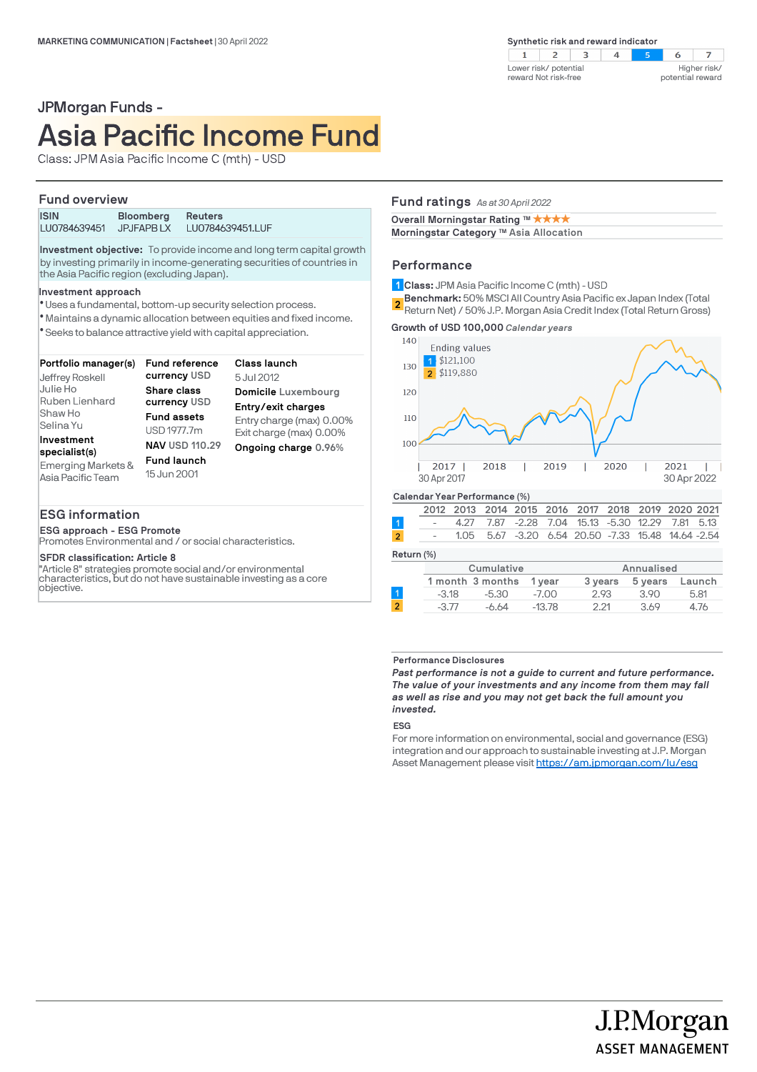$\overline{7}$  $2 \mid 3$  $\overline{4}$  $\blacksquare$  $\mathbb{R}^n$ 6 Lower risk/ potential Higher risk/ reward Not risk-free potential reward

# JPMorgan Funds - Asia Pacific Income Fund

Class: JPM Asia Pacific Income C (mth) - USD

### **Fund overview**

| <b>ISIN</b>  | <b>Bloomberg</b> | <b>Reuters</b>   |
|--------------|------------------|------------------|
| LU0784639451 | JPJFAPB LX       | LU0784639451.LUF |

**Investment objective:** To provide income and long term capital growth by investing primarily in income-generating securities of countries in the Asia Pacific region (excluding Japan).

#### **Investment approach**

- Uses a fundamental, bottom-up security selection process. l
- Maintains a dynamic allocation between equities and fixed income. l
- Seeks to balance attractive yield with capital appreciation. l

| Portfolio manager(s)<br>Jeffrey Roskell                                                                 | <b>Fund reference</b><br>currency USD                                                                           | Class launch<br>5 Jul 2012                                                                                               |
|---------------------------------------------------------------------------------------------------------|-----------------------------------------------------------------------------------------------------------------|--------------------------------------------------------------------------------------------------------------------------|
| Julie Ho<br>Ruben Lienhard<br>Shaw Ho<br>Selina Yu<br>Investment<br>specialist(s)<br>Emerging Markets & | Share class<br>currency USD<br><b>Fund assets</b><br>USD 1977.7m<br><b>NAV USD 110.29</b><br><b>Fund launch</b> | Domicile Luxembourg<br>Entry/exit charges<br>Entry charge (max) 0.00%<br>Exit charge (max) 0.00%<br>Ongoing charge 0.96% |
| Asia Pacific Team                                                                                       | 15 Jun 2001                                                                                                     |                                                                                                                          |

### **ESG information**

**ESG approach - ESG Promote**

Promotes Environmental and / or social characteristics.

### **SFDR classification: Article 8**

"Article 8" strategies promote social and/or environmental characteristics, but do not have sustainable investing as a core objective.

## **Fund ratings** *As at 30 April 2022*

**Overall Morningstar Rating ™ ★ ★ ★ ★** 

**Morningstar Category TM Asia Allocation**

### **Performance**

**Class:** JPM Asia Pacific Income C (mth) - USD **1**

**Benchmark:** 50% MSCI All Country Asia Pacific ex Japan Index (Total **2** Return Net) / 50% Moor All obtainly Ablah dome exception mack (Total Return Gross)

**Growth of USD 100,000** *Calendar years*



| Return (%)     |         |                  |          |         |            |        |
|----------------|---------|------------------|----------|---------|------------|--------|
|                |         | Cumulative       |          |         | Annualised |        |
|                |         | 1 month 3 months | 1 vear   | 3 years | 5 years    | Launch |
|                | $-3.18$ | $-5.30$          | $-7.00$  | 2.93    | 3.90       | 5.81   |
| $\overline{2}$ | $-3.77$ | -6.64            | $-13.78$ | 2.21    | 3.69       | 4.76   |
|                |         |                  |          |         |            |        |

### **Performance Disclosures**

*Past performance is not a guide to current and future performance. The value of your investments and any income from them may fall as well as rise and you may not get back the full amount you invested.* 

**ESG**

For more information on environmental, social and governance (ESG) integration and our approach to sustainable investing at J.P. Morgan Asset Management please visit https://am.jpmorgan.com/lu/esg

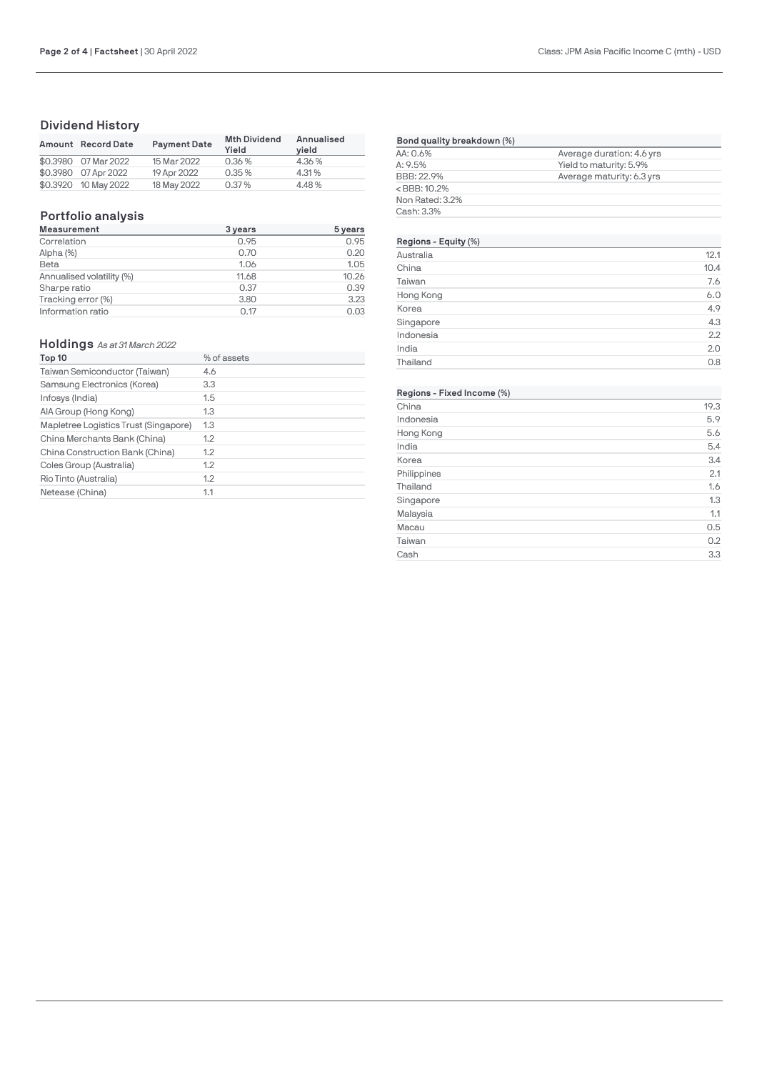# **Dividend History**

| Amount Record Date   | <b>Payment Date</b> | <b>Mth Dividend</b><br>Yield | Annualised<br>vield |
|----------------------|---------------------|------------------------------|---------------------|
| \$0.3980 07 Mar 2022 | 15 Mar 2022         | 0.36 %                       | 4.36%               |
| \$0.3980 07 Apr 2022 | 19 Apr 2022         | 0.35%                        | 4.31%               |
| \$0.3920 10 May 2022 | 18 May 2022         | 0.37%                        | 4.48%               |

# **Portfolio analysis**

| <b>Measurement</b>        | 3 years | 5 years |
|---------------------------|---------|---------|
| Correlation               | 0.95    | 0.95    |
| Alpha (%)                 | 0.70    | 0.20    |
| Beta                      | 1.06    | 1.05    |
| Annualised volatility (%) | 11.68   | 10.26   |
| Sharpe ratio              | 0.37    | 0.39    |
| Tracking error (%)        | 3.80    | 3.23    |
| Information ratio         | 0.17    | 0.03    |

### **Holdings** *As at 31 March 2022*

| Top 10                                | % of assets |
|---------------------------------------|-------------|
| Taiwan Semiconductor (Taiwan)         | 4.6         |
| Samsung Electronics (Korea)           | 3.3         |
| Infosys (India)                       | 1.5         |
| AIA Group (Hong Kong)                 | 1.3         |
| Mapletree Logistics Trust (Singapore) | 1.3         |
| China Merchants Bank (China)          | 1.2         |
| China Construction Bank (China)       | 1.2         |
| Coles Group (Australia)               | 1.2         |
| Rio Tinto (Australia)                 | 1.2         |
| Netease (China)                       | 1.1         |

| Bond quality breakdown (%)             |                           |  |
|----------------------------------------|---------------------------|--|
| AA: 0.6%                               | Average duration: 4.6 yrs |  |
| A: 9.5%                                | Yield to maturity: 5.9%   |  |
| BBB: 22.9%                             | Average maturity: 6.3 yrs |  |
| <bbb: 10.2%<="" td=""><td></td></bbb:> |                           |  |
| Non Rated: 3.2%                        |                           |  |
| Cash: 3.3%                             |                           |  |
|                                        |                           |  |

### **Regions - Equit[y \(%\)](https://www.jpmam.lu/)**

| .         |      |
|-----------|------|
| Australia | 12.1 |
| China     | 10.4 |
| Taiwan    | 7.6  |
| Hong Kong | 6.0  |
| Korea     | 4.9  |
| Singapore | 4.3  |
| Indonesia | 2.2  |
| India     | 2.0  |
| Thailand  | 0.8  |

# **Regions - Fixed Income (%)**

| China       | 19.3 |
|-------------|------|
| Indonesia   | 5.9  |
| Hong Kong   | 5.6  |
| India       | 5.4  |
| Korea       | 3.4  |
| Philippines | 2.1  |
| Thailand    | 1.6  |
| Singapore   | 1.3  |
| Malaysia    | 1.1  |
| Macau       | 0.5  |
| Taiwan      | 0.2  |
| Cash        | 3.3  |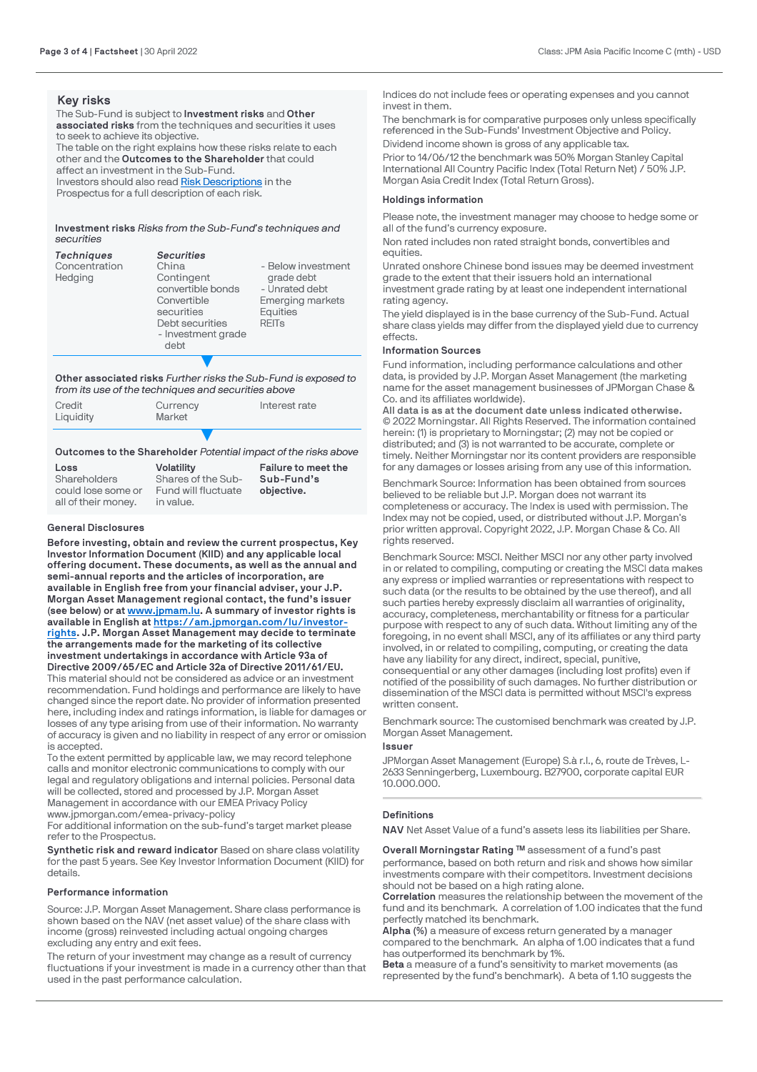### **Key risks**

The Sub-Fund is subject to **Investment risks** and **Other associated risks** from the techniques and securities it uses to seek to achieve its objective. The table on the right explains how these risks relate to each other and the **Outcomes to the Shareholder** that could affect an investment in the Sub-Fund. Investors should also read [Risk Descriptions](http://www.jpmorganassetmanagement.lu/) in the

Prospectus for a full description of each risk.

### **Investment risks** *Risks from the Sub-Fund's techniques and securities*

| <b>Techniques</b><br>Concentration<br>Hedging | <b>Securities</b><br>China<br>Contingent<br>convertible bonds<br>Convertible<br>securities<br>Debt securities<br>- Investment grade<br>debt | - Below investment<br>grade debt<br>- Unrated debt<br><b>Emerging markets</b><br>Equities<br><b>REIT<sub>s</sub></b> |
|-----------------------------------------------|---------------------------------------------------------------------------------------------------------------------------------------------|----------------------------------------------------------------------------------------------------------------------|
|                                               |                                                                                                                                             |                                                                                                                      |

**Other associated risks** *Further risks the Sub-Fund is exposed to from its use of the techniques and securities above*

| Credit<br>Liquidity | Currency<br>Market | Interest rate |
|---------------------|--------------------|---------------|
|                     |                    |               |

### **Outcomes to the Shareholder** *Potential impact of the risks above*

| Loss                | <b>Volatility</b>   | Failure to meet the |
|---------------------|---------------------|---------------------|
| Shareholders        | Shares of the Sub-  | Sub-Fund's          |
| could lose some or  | Fund will fluctuate | objective.          |
| all of their money. | in value.           |                     |

#### **General Disclosures**

**Before investing, obtain and review the current prospectus, Key Investor Information Document (KIID) and any applicable local offering document. These documents, as well as the annual and semi-annual reports and the articles of incorporation, are available in English free from your financial adviser, your J.P. Morgan Asset Management regional contact, the fund's issuer (see below) or at [www.jpmam.lu](https://www.jpmam.lu/). A summary of investor rights is available in English at [https://am.jpmorgan.com/lu/investor](https://am.jpmorgan.com/lu/investor-rights)[rights](https://am.jpmorgan.com/lu/investor-rights). J.P. Morgan Asset Management may decide to terminate the arrangements made for the marketing of its collective investment undertakings in accordance with Article 93a of Directive 2009/65/EC and Article 32a of Directive 2011/61/EU.**  This material should not be considered as advice or an investment recommendation. Fund holdings and performance are likely to have changed since the report date. No provider of information presented here, including index and ratings information, is liable for damages or losses of any type arising from use of their information. No warranty of accuracy is given and no liability in respect of any error or omission is accepted.

To the extent permitted by applicable law, we may record telephone calls and monitor electronic communications to comply with our legal and regulatory obligations and internal policies. Personal data will be collected, stored and processed by J.P. Morgan Asset Management in accordance with our EMEA Privacy Policy

www.jpmorgan.com/emea-privacy-policy

For additional information on the sub-fund's target market please refer to the Prospectus.

**Synthetic risk and reward indicator** Based on share class volatility for the past 5 years. See Key Investor Information Document (KIID) for details.

#### **Performance information**

Source: J.P. Morgan Asset Management. Share class performance is shown based on the NAV (net asset value) of the share class with income (gross) reinvested including actual ongoing charges excluding any entry and exit fees.

The return of your investment may change as a result of currency fluctuations if your investment is made in a currency other than that used in the past performance calculation.

Indices do not include fees or operating expenses and you cannot invest in them.

The benchmark is for comparative purposes only unless specifically referenced in the Sub-Funds' Investment Objective and Policy. Dividend income shown is gross of any applicable tax.

Prior to 14/06/12 the benchmark was 50% Morgan Stanley Capital International All Country Pacific Index (Total Return Net) / 50% J.P. Morgan Asia Credit Index (Total Return Gross).

### **Holdings information**

Please note, the investment manager may choose to hedge some or all of the fund's currency exposure.

Non rated includes non rated straight bonds, convertibles and equities.

Unrated onshore Chinese bond issues may be deemed investment grade to the extent that their issuers hold an international investment grade rating by at least one independent international rating agency.

The yield displayed is in the base currency of the Sub-Fund. Actual share class yields may differ from the displayed yield due to currency effects.

### **Information Sources**

Fund information, including performance calculations and other data, is provided by J.P. Morgan Asset Management (the marketing name for the asset management businesses of JPMorgan Chase & Co. and its affiliates worldwide).

**All data is as at the document date unless indicated otherwise.** © 2022 Morningstar. All Rights Reserved. The information contained herein: (1) is proprietary to Morningstar; (2) may not be copied or distributed; and (3) is not warranted to be accurate, complete or timely. Neither Morningstar nor its content providers are responsible for any damages or losses arising from any use of this information.

Benchmark Source: Information has been obtained from sources believed to be reliable but J.P. Morgan does not warrant its completeness or accuracy. The Index is used with permission. The Index may not be copied, used, or distributed without J.P. Morgan's prior written approval. Copyright 2022, J.P. Morgan Chase & Co. All rights reserved.

Benchmark Source: MSCI. Neither MSCI nor any other party involved in or related to compiling, computing or creating the MSCI data makes any express or implied warranties or representations with respect to such data (or the results to be obtained by the use thereof), and all such parties hereby expressly disclaim all warranties of originality, accuracy, completeness, merchantability or fitness for a particular purpose with respect to any of such data. Without limiting any of the foregoing, in no event shall MSCI, any of its affiliates or any third party involved, in or related to compiling, computing, or creating the data have any liability for any direct, indirect, special, punitive, consequential or any other damages (including lost profits) even if notified of the possibility of such damages. No further distribution or dissemination of the MSCI data is permitted without MSCI's express written consent.

Benchmark source: The customised benchmark was created by J.P. Morgan Asset Management.

#### **Issuer**

JPMorgan Asset Management (Europe) S.à r.l., 6, route de Trèves, L-2633 Senningerberg, Luxembourg. B27900, corporate capital EUR 10.000.000.

### **Definitions**

**NAV** Net Asset Value of a fund's assets less its liabilities per Share.

**Overall Morningstar Rating ™** assessment of a fund's past performance, based on both return and risk and shows how similar investments compare with their competitors. Investment decisions should not be based on a high rating alone.

**Correlation** measures the relationship between the movement of the fund and its benchmark. A correlation of 1.00 indicates that the fund perfectly matched its benchmark.

**Alpha (%)** a measure of excess return generated by a manager compared to the benchmark. An alpha of 1.00 indicates that a fund has outperformed its benchmark by 1%.

**Beta** a measure of a fund's sensitivity to market movements (as represented by the fund's benchmark). A beta of 1.10 suggests the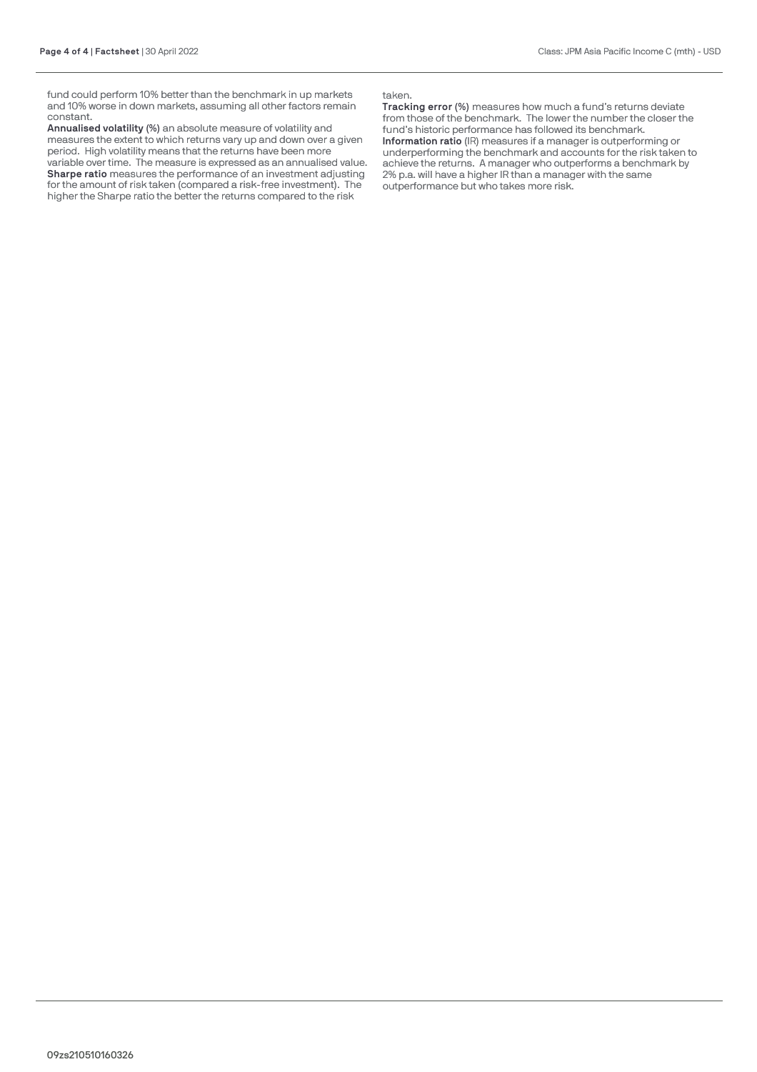fund could perform 10% better than the benchmark in up markets and 10% worse in down markets, assuming all other factors remain constant.

**Annualised volatility (%)** an absolute measure of volatility and measures the extent to which returns vary up and down over a given period. High volatility means that the returns have been more variable over time. The measure is expressed as an annualised value.

**Sharpe ratio** measures the performance of an investment adjusting for the amount of risk taken (compared a risk-free investment). The higher the Sharpe ratio the better the returns compared to the risk

taken.

**Tracking error (%)** measures how much a fund's returns deviate from those of the benchmark. The lower the number the closer the fund's historic performance has followed its benchmark. **Information ratio** (IR) measures if a manager is outperforming or underperforming the benchmark and accounts for the risk taken to achieve the returns. A manager who outperforms a benchmark by 2% p.a. will have a higher IR than a manager with the same outperformance but who takes more risk.